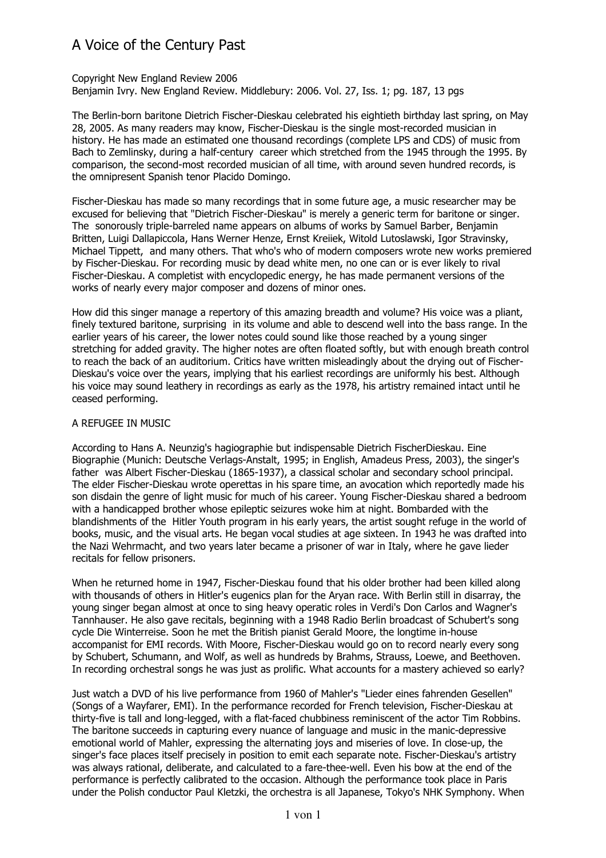Copyright New England Review 2006

Benjamin Ivry. New England Review. Middlebury: 2006. Vol. 27, Iss. 1; pg. 187, 13 pgs

The Berlin-born baritone Dietrich Fischer-Dieskau celebrated his eightieth birthday last spring, on May 28, 2005. As many readers may know, Fischer-Dieskau is the single most-recorded musician in history. He has made an estimated one thousand recordings (complete LPS and CDS) of music from Bach to Zemlinsky, during a half-century career which stretched from the 1945 through the 1995. By comparison, the second-most recorded musician of all time, with around seven hundred records, is the omnipresent Spanish tenor Placido Domingo.

Fischer-Dieskau has made so many recordings that in some future age, a music researcher may be excused for believing that "Dietrich Fischer-Dieskau" is merely a generic term for baritone or singer. The sonorously triple-barreled name appears on albums of works by Samuel Barber, Benjamin Britten, Luigi Dallapiccola, Hans Werner Henze, Ernst Kreiiek, Witold Lutoslawski, Igor Stravinsky, Michael Tippett, and many others. That who's who of modern composers wrote new works premiered by Fischer-Dieskau. For recording music by dead white men, no one can or is ever likely to rival Fischer-Dieskau. A completist with encyclopedic energy, he has made permanent versions of the works of nearly every major composer and dozens of minor ones.

How did this singer manage a repertory of this amazing breadth and volume? His voice was a pliant, finely textured baritone, surprising in its volume and able to descend well into the bass range. In the earlier years of his career, the lower notes could sound like those reached by a young singer stretching for added gravity. The higher notes are often floated softly, but with enough breath control to reach the back of an auditorium. Critics have written misleadingly about the drying out of Fischer-Dieskau's voice over the years, implying that his earliest recordings are uniformly his best. Although his voice may sound leathery in recordings as early as the 1978, his artistry remained intact until he ceased performing.

### A REFUGEE IN MUSIC

According to Hans A. Neunzig's hagiographie but indispensable Dietrich FischerDieskau. Eine Biographie (Munich: Deutsche Verlags-Anstalt, 1995; in English, Amadeus Press, 2003), the singer's father was Albert Fischer-Dieskau (1865-1937), a classical scholar and secondary school principal. The elder Fischer-Dieskau wrote operettas in his spare time, an avocation which reportedly made his son disdain the genre of light music for much of his career. Young Fischer-Dieskau shared a bedroom with a handicapped brother whose epileptic seizures woke him at night. Bombarded with the blandishments of the Hitler Youth program in his early years, the artist sought refuge in the world of books, music, and the visual arts. He began vocal studies at age sixteen. In 1943 he was drafted into the Nazi Wehrmacht, and two years later became a prisoner of war in Italy, where he gave lieder recitals for fellow prisoners.

When he returned home in 1947, Fischer-Dieskau found that his older brother had been killed along with thousands of others in Hitler's eugenics plan for the Aryan race. With Berlin still in disarray, the young singer began almost at once to sing heavy operatic roles in Verdi's Don Carlos and Wagner's Tannhauser. He also gave recitals, beginning with a 1948 Radio Berlin broadcast of Schubert's song cycle Die Winterreise. Soon he met the British pianist Gerald Moore, the longtime in-house accompanist for EMI records. With Moore, Fischer-Dieskau would go on to record nearly every song by Schubert, Schumann, and Wolf, as well as hundreds by Brahms, Strauss, Loewe, and Beethoven. In recording orchestral songs he was just as prolific. What accounts for a mastery achieved so early?

Just watch a DVD of his live performance from 1960 of Mahler's "Lieder eines fahrenden Gesellen" (Songs of a Wayfarer, EMI). In the performance recorded for French television, Fischer-Dieskau at thirty-five is tall and long-legged, with a flat-faced chubbiness reminiscent of the actor Tim Robbins. The baritone succeeds in capturing every nuance of language and music in the manic-depressive emotional world of Mahler, expressing the alternating joys and miseries of love. In close-up, the singer's face places itself precisely in position to emit each separate note. Fischer-Dieskau's artistry was always rational, deliberate, and calculated to a fare-thee-well. Even his bow at the end of the performance is perfectly calibrated to the occasion. Although the performance took place in Paris under the Polish conductor Paul Kletzki, the orchestra is all Japanese, Tokyo's NHK Symphony. When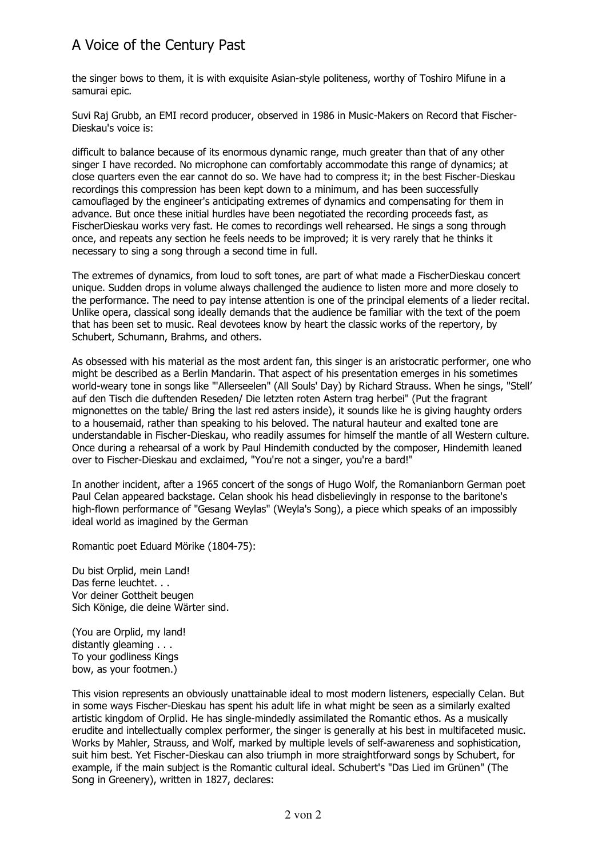the singer bows to them, it is with exquisite Asian-style politeness, worthy of Toshiro Mifune in a samurai epic.

Suvi Raj Grubb, an EMI record producer, observed in 1986 in Music-Makers on Record that Fischer-Dieskau's voice is:

difficult to balance because of its enormous dynamic range, much greater than that of any other singer I have recorded. No microphone can comfortably accommodate this range of dynamics; at close quarters even the ear cannot do so. We have had to compress it; in the best Fischer-Dieskau recordings this compression has been kept down to a minimum, and has been successfully camouflaged by the engineer's anticipating extremes of dynamics and compensating for them in advance. But once these initial hurdles have been negotiated the recording proceeds fast, as FischerDieskau works very fast. He comes to recordings well rehearsed. He sings a song through once, and repeats any section he feels needs to be improved; it is very rarely that he thinks it necessary to sing a song through a second time in full.

The extremes of dynamics, from loud to soft tones, are part of what made a FischerDieskau concert unique. Sudden drops in volume always challenged the audience to listen more and more closely to the performance. The need to pay intense attention is one of the principal elements of a lieder recital. Unlike opera, classical song ideally demands that the audience be familiar with the text of the poem that has been set to music. Real devotees know by heart the classic works of the repertory, by Schubert, Schumann, Brahms, and others.

As obsessed with his material as the most ardent fan, this singer is an aristocratic performer, one who might be described as a Berlin Mandarin. That aspect of his presentation emerges in his sometimes world-weary tone in songs like "'Allerseelen" (All Souls' Day) by Richard Strauss. When he sings, "Stell' auf den Tisch die duftenden Reseden/ Die letzten roten Astern trag herbei" (Put the fragrant mignonettes on the table/ Bring the last red asters inside), it sounds like he is giving haughty orders to a housemaid, rather than speaking to his beloved. The natural hauteur and exalted tone are understandable in Fischer-Dieskau, who readily assumes for himself the mantle of all Western culture. Once during a rehearsal of a work by Paul Hindemith conducted by the composer, Hindemith leaned over to Fischer-Dieskau and exclaimed, "You're not a singer, you're a bard!"

In another incident, after a 1965 concert of the songs of Hugo Wolf, the Romanianborn German poet Paul Celan appeared backstage. Celan shook his head disbelievingly in response to the baritone's high-flown performance of "Gesang Weylas" (Weyla's Song), a piece which speaks of an impossibly ideal world as imagined by the German

Romantic poet Eduard Mörike (1804-75):

Du bist Orplid, mein Land! Das ferne leuchtet. . . Vor deiner Gottheit beugen Sich Könige, die deine Wärter sind.

(You are Orplid, my land! distantly gleaming . . . To your godliness Kings bow, as your footmen.)

This vision represents an obviously unattainable ideal to most modern listeners, especially Celan. But in some ways Fischer-Dieskau has spent his adult life in what might be seen as a similarly exalted artistic kingdom of Orplid. He has single-mindedly assimilated the Romantic ethos. As a musically erudite and intellectually complex performer, the singer is generally at his best in multifaceted music. Works by Mahler, Strauss, and Wolf, marked by multiple levels of self-awareness and sophistication, suit him best. Yet Fischer-Dieskau can also triumph in more straightforward songs by Schubert, for example, if the main subject is the Romantic cultural ideal. Schubert's "Das Lied im Grünen" (The Song in Greenery), written in 1827, declares: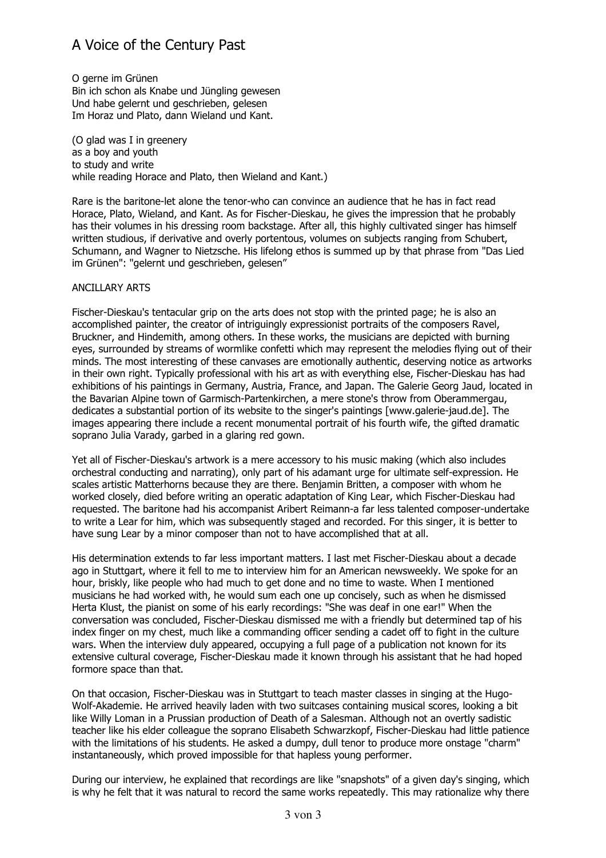O gerne im Grünen Bin ich schon als Knabe und Jüngling gewesen Und habe gelernt und geschrieben, gelesen Im Horaz und Plato, dann Wieland und Kant.

(O glad was I in greenery as a boy and youth to study and write while reading Horace and Plato, then Wieland and Kant.)

Rare is the baritone-let alone the tenor-who can convince an audience that he has in fact read Horace, Plato, Wieland, and Kant. As for Fischer-Dieskau, he gives the impression that he probably has their volumes in his dressing room backstage. After all, this highly cultivated singer has himself written studious, if derivative and overly portentous, volumes on subjects ranging from Schubert, Schumann, and Wagner to Nietzsche. His lifelong ethos is summed up by that phrase from "Das Lied im Grünen": "gelernt und geschrieben, gelesen"

#### ANCILLARY ARTS

Fischer-Dieskau's tentacular grip on the arts does not stop with the printed page; he is also an accomplished painter, the creator of intriguingly expressionist portraits of the composers Ravel, Bruckner, and Hindemith, among others. In these works, the musicians are depicted with burning eyes, surrounded by streams of wormlike confetti which may represent the melodies flying out of their minds. The most interesting of these canvases are emotionally authentic, deserving notice as artworks in their own right. Typically professional with his art as with everything else, Fischer-Dieskau has had exhibitions of his paintings in Germany, Austria, France, and Japan. The Galerie Georg Jaud, located in the Bavarian Alpine town of Garmisch-Partenkirchen, a mere stone's throw from Oberammergau, dedicates a substantial portion of its website to the singer's paintings [www.galerie-jaud.de]. The images appearing there include a recent monumental portrait of his fourth wife, the gifted dramatic soprano Julia Varady, garbed in a glaring red gown.

Yet all of Fischer-Dieskau's artwork is a mere accessory to his music making (which also includes orchestral conducting and narrating), only part of his adamant urge for ultimate self-expression. He scales artistic Matterhorns because they are there. Benjamin Britten, a composer with whom he worked closely, died before writing an operatic adaptation of King Lear, which Fischer-Dieskau had requested. The baritone had his accompanist Aribert Reimann-a far less talented composer-undertake to write a Lear for him, which was subsequently staged and recorded. For this singer, it is better to have sung Lear by a minor composer than not to have accomplished that at all.

His determination extends to far less important matters. I last met Fischer-Dieskau about a decade ago in Stuttgart, where it fell to me to interview him for an American newsweekly. We spoke for an hour, briskly, like people who had much to get done and no time to waste. When I mentioned musicians he had worked with, he would sum each one up concisely, such as when he dismissed Herta Klust, the pianist on some of his early recordings: "She was deaf in one ear!" When the conversation was concluded, Fischer-Dieskau dismissed me with a friendly but determined tap of his index finger on my chest, much like a commanding officer sending a cadet off to fight in the culture wars. When the interview duly appeared, occupying a full page of a publication not known for its extensive cultural coverage, Fischer-Dieskau made it known through his assistant that he had hoped formore space than that.

On that occasion, Fischer-Dieskau was in Stuttgart to teach master classes in singing at the Hugo-Wolf-Akademie. He arrived heavily laden with two suitcases containing musical scores, looking a bit like Willy Loman in a Prussian production of Death of a Salesman. Although not an overtly sadistic teacher like his elder colleague the soprano Elisabeth Schwarzkopf, Fischer-Dieskau had little patience with the limitations of his students. He asked a dumpy, dull tenor to produce more onstage "charm" instantaneously, which proved impossible for that hapless young performer.

During our interview, he explained that recordings are like "snapshots" of a given day's singing, which is why he felt that it was natural to record the same works repeatedly. This may rationalize why there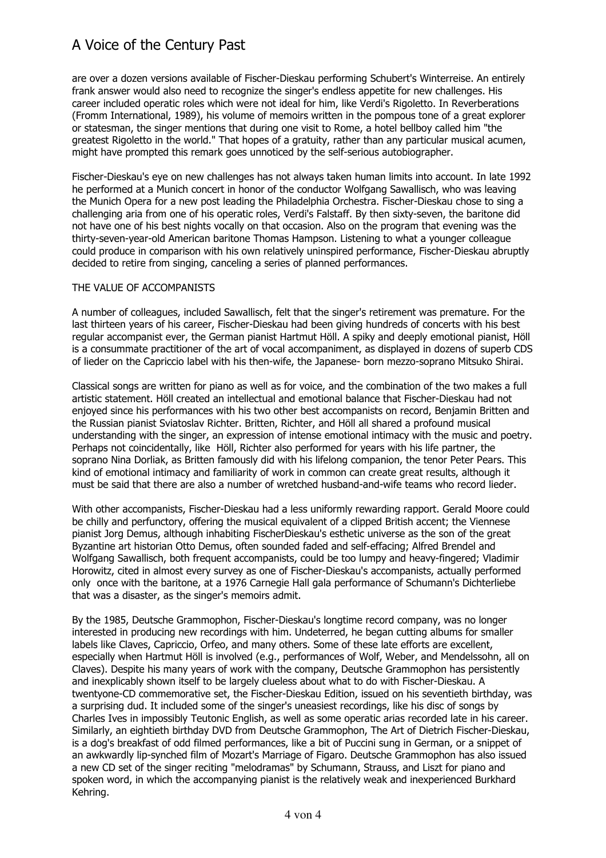are over a dozen versions available of Fischer-Dieskau performing Schubert's Winterreise. An entirely frank answer would also need to recognize the singer's endless appetite for new challenges. His career included operatic roles which were not ideal for him, like Verdi's Rigoletto. In Reverberations (Fromm International, 1989), his volume of memoirs written in the pompous tone of a great explorer or statesman, the singer mentions that during one visit to Rome, a hotel bellboy called him "the greatest Rigoletto in the world." That hopes of a gratuity, rather than any particular musical acumen, might have prompted this remark goes unnoticed by the self-serious autobiographer.

Fischer-Dieskau's eye on new challenges has not always taken human limits into account. In late 1992 he performed at a Munich concert in honor of the conductor Wolfgang Sawallisch, who was leaving the Munich Opera for a new post leading the Philadelphia Orchestra. Fischer-Dieskau chose to sing a challenging aria from one of his operatic roles, Verdi's Falstaff. By then sixty-seven, the baritone did not have one of his best nights vocally on that occasion. Also on the program that evening was the thirty-seven-year-old American baritone Thomas Hampson. Listening to what a younger colleague could produce in comparison with his own relatively uninspired performance, Fischer-Dieskau abruptly decided to retire from singing, canceling a series of planned performances.

#### THE VALUE OF ACCOMPANISTS

A number of colleagues, included Sawallisch, felt that the singer's retirement was premature. For the last thirteen years of his career, Fischer-Dieskau had been giving hundreds of concerts with his best regular accompanist ever, the German pianist Hartmut Höll. A spiky and deeply emotional pianist, Höll is a consummate practitioner of the art of vocal accompaniment, as displayed in dozens of superb CDS of lieder on the Capriccio label with his then-wife, the Japanese- born mezzo-soprano Mitsuko Shirai.

Classical songs are written for piano as well as for voice, and the combination of the two makes a full artistic statement. Höll created an intellectual and emotional balance that Fischer-Dieskau had not enjoyed since his performances with his two other best accompanists on record, Benjamin Britten and the Russian pianist Sviatoslav Richter. Britten, Richter, and Höll all shared a profound musical understanding with the singer, an expression of intense emotional intimacy with the music and poetry. Perhaps not coincidentally, like Höll, Richter also performed for years with his life partner, the soprano Nina Dorliak, as Britten famously did with his lifelong companion, the tenor Peter Pears. This kind of emotional intimacy and familiarity of work in common can create great results, although it must be said that there are also a number of wretched husband-and-wife teams who record lieder.

With other accompanists, Fischer-Dieskau had a less uniformly rewarding rapport. Gerald Moore could be chilly and perfunctory, offering the musical equivalent of a clipped British accent; the Viennese pianist Jorg Demus, although inhabiting FischerDieskau's esthetic universe as the son of the great Byzantine art historian Otto Demus, often sounded faded and self-effacing; Alfred Brendel and Wolfgang Sawallisch, both frequent accompanists, could be too lumpy and heavy-fingered; Vladimir Horowitz, cited in almost every survey as one of Fischer-Dieskau's accompanists, actually performed only once with the baritone, at a 1976 Carnegie Hall gala performance of Schumann's Dichterliebe that was a disaster, as the singer's memoirs admit.

By the 1985, Deutsche Grammophon, Fischer-Dieskau's longtime record company, was no longer interested in producing new recordings with him. Undeterred, he began cutting albums for smaller labels like Claves, Capriccio, Orfeo, and many others. Some of these late efforts are excellent, especially when Hartmut Höll is involved (e.g., performances of Wolf, Weber, and Mendelssohn, all on Claves). Despite his many years of work with the company, Deutsche Grammophon has persistently and inexplicably shown itself to be largely clueless about what to do with Fischer-Dieskau. A twentyone-CD commemorative set, the Fischer-Dieskau Edition, issued on his seventieth birthday, was a surprising dud. It included some of the singer's uneasiest recordings, like his disc of songs by Charles Ives in impossibly Teutonic English, as well as some operatic arias recorded late in his career. Similarly, an eightieth birthday DVD from Deutsche Grammophon, The Art of Dietrich Fischer-Dieskau, is a dog's breakfast of odd filmed performances, like a bit of Puccini sung in German, or a snippet of an awkwardly lip-synched film of Mozart's Marriage of Figaro. Deutsche Grammophon has also issued a new CD set of the singer reciting "melodramas" by Schumann, Strauss, and Liszt for piano and spoken word, in which the accompanying pianist is the relatively weak and inexperienced Burkhard Kehring.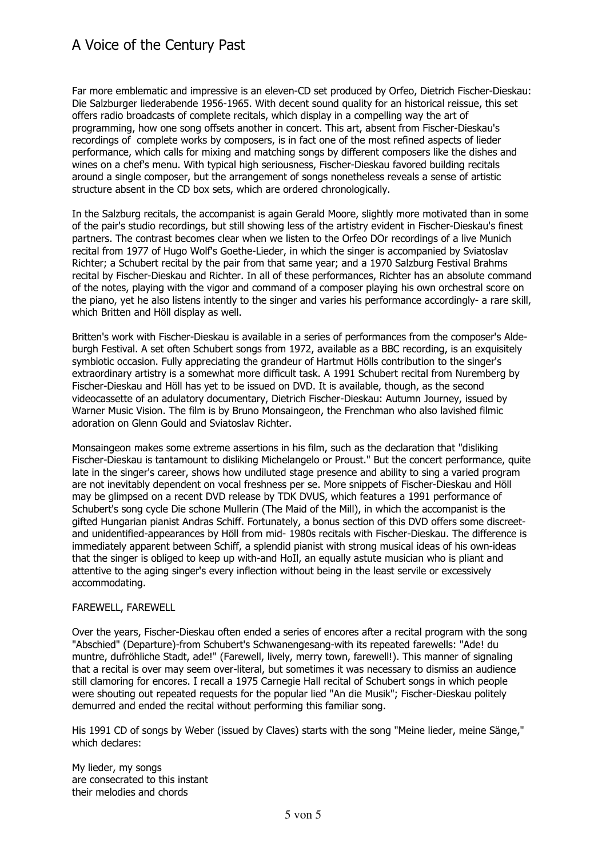Far more emblematic and impressive is an eleven-CD set produced by Orfeo, Dietrich Fischer-Dieskau: Die Salzburger liederabende 1956-1965. With decent sound quality for an historical reissue, this set offers radio broadcasts of complete recitals, which display in a compelling way the art of programming, how one song offsets another in concert. This art, absent from Fischer-Dieskau's recordings of complete works by composers, is in fact one of the most refined aspects of lieder performance, which calls for mixing and matching songs by different composers like the dishes and wines on a chef's menu. With typical high seriousness, Fischer-Dieskau favored building recitals around a single composer, but the arrangement of songs nonetheless reveals a sense of artistic structure absent in the CD box sets, which are ordered chronologically.

In the Salzburg recitals, the accompanist is again Gerald Moore, slightly more motivated than in some of the pair's studio recordings, but still showing less of the artistry evident in Fischer-Dieskau's finest partners. The contrast becomes clear when we listen to the Orfeo DOr recordings of a live Munich recital from 1977 of Hugo Wolf's Goethe-Lieder, in which the singer is accompanied by Sviatoslav Richter; a Schubert recital by the pair from that same year; and a 1970 Salzburg Festival Brahms recital by Fischer-Dieskau and Richter. In all of these performances, Richter has an absolute command of the notes, playing with the vigor and command of a composer playing his own orchestral score on the piano, yet he also listens intently to the singer and varies his performance accordingly- a rare skill, which Britten and Höll display as well.

Britten's work with Fischer-Dieskau is available in a series of performances from the composer's Aldeburgh Festival. A set often Schubert songs from 1972, available as a BBC recording, is an exquisitely symbiotic occasion. Fully appreciating the grandeur of Hartmut Hölls contribution to the singer's extraordinary artistry is a somewhat more difficult task. A 1991 Schubert recital from Nuremberg by Fischer-Dieskau and Höll has yet to be issued on DVD. It is available, though, as the second videocassette of an adulatory documentary, Dietrich Fischer-Dieskau: Autumn Journey, issued by Warner Music Vision. The film is by Bruno Monsaingeon, the Frenchman who also lavished filmic adoration on Glenn Gould and Sviatoslav Richter.

Monsaingeon makes some extreme assertions in his film, such as the declaration that "disliking Fischer-Dieskau is tantamount to disliking Michelangelo or Proust." But the concert performance, quite late in the singer's career, shows how undiluted stage presence and ability to sing a varied program are not inevitably dependent on vocal freshness per se. More snippets of Fischer-Dieskau and Höll may be glimpsed on a recent DVD release by TDK DVUS, which features a 1991 performance of Schubert's song cycle Die schone Mullerin (The Maid of the Mill), in which the accompanist is the gifted Hungarian pianist Andras Schiff. Fortunately, a bonus section of this DVD offers some discreetand unidentified-appearances by Höll from mid- 1980s recitals with Fischer-Dieskau. The difference is immediately apparent between Schiff, a splendid pianist with strong musical ideas of his own-ideas that the singer is obliged to keep up with-and HoIl, an equally astute musician who is pliant and attentive to the aging singer's every inflection without being in the least servile or excessively accommodating.

### FAREWELL, FAREWELL

Over the years, Fischer-Dieskau often ended a series of encores after a recital program with the song "Abschied" (Departure)-from Schubert's Schwanengesang-with its repeated farewells: "Ade! du muntre, dufröhliche Stadt, ade!" (Farewell, lively, merry town, farewell!). This manner of signaling that a recital is over may seem over-literal, but sometimes it was necessary to dismiss an audience still clamoring for encores. I recall a 1975 Carnegie Hall recital of Schubert songs in which people were shouting out repeated requests for the popular lied "An die Musik"; Fischer-Dieskau politely demurred and ended the recital without performing this familiar song.

His 1991 CD of songs by Weber (issued by Claves) starts with the song "Meine lieder, meine Sänge," which declares:

My lieder, my songs are consecrated to this instant their melodies and chords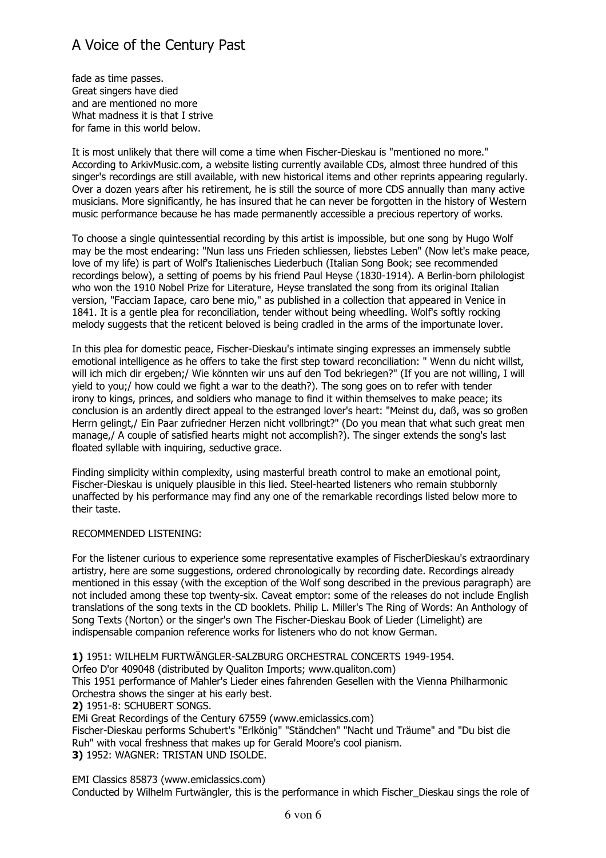fade as time passes. Great singers have died and are mentioned no more What madness it is that I strive for fame in this world below.

It is most unlikely that there will come a time when Fischer-Dieskau is "mentioned no more." According to ArkivMusic.com, a website listing currently available CDs, almost three hundred of this singer's recordings are still available, with new historical items and other reprints appearing regularly. Over a dozen years after his retirement, he is still the source of more CDS annually than many active musicians. More significantly, he has insured that he can never be forgotten in the history of Western music performance because he has made permanently accessible a precious repertory of works.

To choose a single quintessential recording by this artist is impossible, but one song by Hugo Wolf may be the most endearing: "Nun lass uns Frieden schliessen, liebstes Leben" (Now let's make peace, love of my life) is part of Wolf's Italienisches Liederbuch (Italian Song Book; see recommended recordings below), a setting of poems by his friend Paul Heyse (1830-1914). A Berlin-born philologist who won the 1910 Nobel Prize for Literature, Heyse translated the song from its original Italian version, "Facciam Iapace, caro bene mio," as published in a collection that appeared in Venice in 1841. It is a gentle plea for reconciliation, tender without being wheedling. Wolf's softly rocking melody suggests that the reticent beloved is being cradled in the arms of the importunate lover.

In this plea for domestic peace, Fischer-Dieskau's intimate singing expresses an immensely subtle emotional intelligence as he offers to take the first step toward reconciliation: " Wenn du nicht willst, will ich mich dir ergeben;/ Wie könnten wir uns auf den Tod bekriegen?" (If you are not willing, I will yield to you;/ how could we fight a war to the death?). The song goes on to refer with tender irony to kings, princes, and soldiers who manage to find it within themselves to make peace; its conclusion is an ardently direct appeal to the estranged lover's heart: "Meinst du, daß, was so großen Herrn gelingt,/ Ein Paar zufriedner Herzen nicht vollbringt?" (Do you mean that what such great men manage,/ A couple of satisfied hearts might not accomplish?). The singer extends the song's last floated syllable with inquiring, seductive grace.

Finding simplicity within complexity, using masterful breath control to make an emotional point, Fischer-Dieskau is uniquely plausible in this lied. Steel-hearted listeners who remain stubbornly unaffected by his performance may find any one of the remarkable recordings listed below more to their taste.

### RECOMMENDED LISTENING:

For the listener curious to experience some representative examples of FischerDieskau's extraordinary artistry, here are some suggestions, ordered chronologically by recording date. Recordings already mentioned in this essay (with the exception of the Wolf song described in the previous paragraph) are not included among these top twenty-six. Caveat emptor: some of the releases do not include English translations of the song texts in the CD booklets. Philip L. Miller's The Ring of Words: An Anthology of Song Texts (Norton) or the singer's own The Fischer-Dieskau Book of Lieder (Limelight) are indispensable companion reference works for listeners who do not know German.

1) 1951: WILHELM FURTWÄNGLER-SALZBURG ORCHESTRAL CONCERTS 1949-1954.

Orfeo D'or 409048 (distributed by Qualiton Imports; www.qualiton.com)

This 1951 performance of Mahler's Lieder eines fahrenden Gesellen with the Vienna Philharmonic Orchestra shows the singer at his early best.

2) 1951-8: SCHUBERT SONGS.

EMi Great Recordings of the Century 67559 (www.emiclassics.com)

Fischer-Dieskau performs Schubert's "Erlkönig" "Ständchen" "Nacht und Träume" and "Du bist die Ruh" with vocal freshness that makes up for Gerald Moore's cool pianism. 3) 1952: WAGNER: TRISTAN UND ISOLDE.

EMI Classics 85873 (www.emiclassics.com)

Conducted by Wilhelm Furtwängler, this is the performance in which Fischer\_Dieskau sings the role of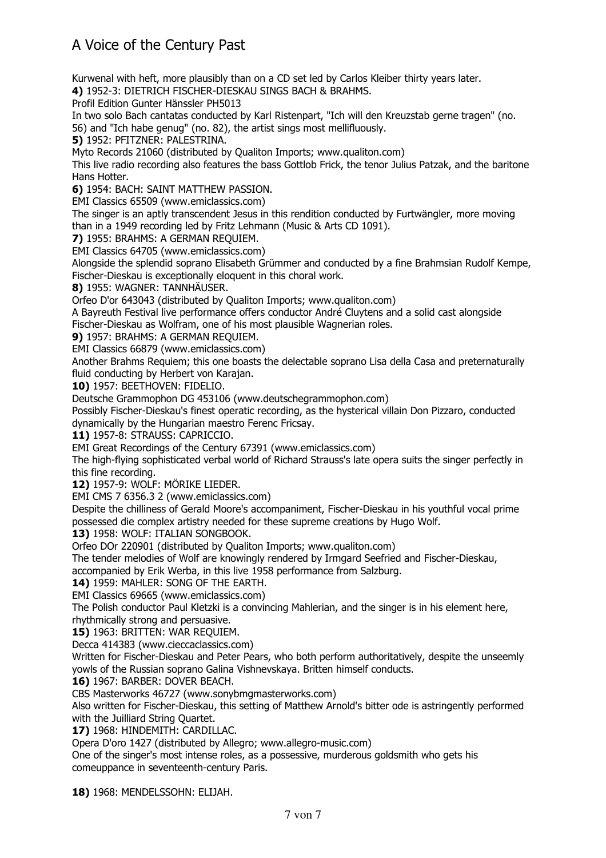Kurwenal with heft, more plausibly than on a CD set led by Carlos Kleiber thirty years later. 4) 1952-3: DIETRICH FISCHER-DIESKAU SINGS BACH & BRAHMS.

Profil Edition Gunter Hänssler PH5013

In two solo Bach cantatas conducted by Karl Ristenpart, "Ich will den Kreuzstab gerne tragen" (no.

56) and "Ich habe genug" (no. 82), the artist sings most mellifluously.

5) 1952: PFITZNER: PALESTRINA.

Myto Records 21060 (distributed by Qualiton Imports; www.qualiton.com)

This live radio recording also features the bass Gottlob Frick, the tenor Julius Patzak, and the baritone Hans Hotter.

6) 1954: BACH: SAINT MATTHEW PASSION.

EMI Classics 65509 (www.emiclassics.com)

The singer is an aptly transcendent Jesus in this rendition conducted by Furtwängler, more moving than in a 1949 recording led by Fritz Lehmann (Music & Arts CD 1091).

7) 1955: BRAHMS: A GERMAN REQUIEM.

EMI Classics 64705 (www.emiclassics.com)

Alongside the splendid soprano Elisabeth Grümmer and conducted by a fine Brahmsian Rudolf Kempe, Fischer-Dieskau is exceptionally eloquent in this choral work.

8) 1955: WAGNER: TANNHÄUSER.

Orfeo D'or 643043 (distributed by Qualiton Imports; www.qualiton.com)

A Bayreuth Festival live performance offers conductor André Cluytens and a solid cast alongside Fischer-Dieskau as Wolfram, one of his most plausible Wagnerian roles.

9) 1957: BRAHMS: A GERMAN REQUIEM.

EMI Classics 66879 (www.emiclassics.com)

Another Brahms Requiem; this one boasts the delectable soprano Lisa della Casa and preternaturally fluid conducting by Herbert von Karajan.

10) 1957: BEETHOVEN: FIDELIO.

Deutsche Grammophon DG 453106 (www.deutschegrammophon.com)

Possibly Fischer-Dieskau's finest operatic recording, as the hysterical villain Don Pizzaro, conducted dynamically by the Hungarian maestro Ferenc Fricsay.

11) 1957-8: STRAUSS: CAPRICCIO.

EMI Great Recordings of the Century 67391 (www.emiclassics.com)

The high-flying sophisticated verbal world of Richard Strauss's late opera suits the singer perfectly in this fine recording.

12) 1957-9: WOLF: MÖRIKE LIEDER.

EMI CMS 7 6356.3 2 (www.emiclassics.com)

Despite the chilliness of Gerald Moore's accompaniment, Fischer-Dieskau in his youthful vocal prime possessed die complex artistry needed for these supreme creations by Hugo Wolf.

13) 1958: WOLF: ITALIAN SONGBOOK.

Orfeo DOr 220901 (distributed by Qualiton Imports; www.qualiton.com)

The tender melodies of Wolf are knowingly rendered by Irmgard Seefried and Fischer-Dieskau,

accompanied by Erik Werba, in this live 1958 performance from Salzburg.

14) 1959: MAHLER: SONG OF THE EARTH.

EMI Classics 69665 (www.emiclassics.com)

The Polish conductor Paul Kletzki is a convincing Mahlerian, and the singer is in his element here, rhythmically strong and persuasive.

15) 1963: BRITTEN: WAR REQUIEM.

Decca 414383 (www.cieccaclassics.com)

Written for Fischer-Dieskau and Peter Pears, who both perform authoritatively, despite the unseemly yowls of the Russian soprano Galina Vishnevskaya. Britten himself conducts.

16) 1967: BARBER: DOVER BEACH.

CBS Masterworks 46727 (www.sonybmgmasterworks.com)

Also written for Fischer-Dieskau, this setting of Matthew Arnold's bitter ode is astringently performed with the Juilliard String Quartet.

17) 1968: HINDEMITH: CARDILLAC.

Opera D'oro 1427 (distributed by Allegro; www.allegro-music.com)

One of the singer's most intense roles, as a possessive, murderous goldsmith who gets his comeuppance in seventeenth-century Paris.

18) 1968: MENDELSSOHN: ELIJAH.